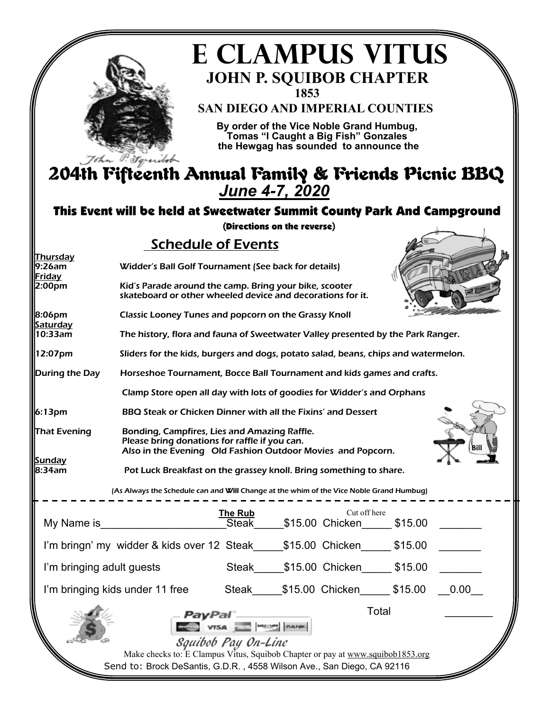

# **E CLAMPUS VITUS 1853 JOHN P. SQUIBOB CHAPTER**

**SAN DIEGO AND IMPERIAL COUNTIES** 

**By order of the Vice Noble Grand Humbug, Tomas "I Caught a Big Fish" Gonzales the Hewgag has sounded to announce the** 

# *June 4-7, 2020*  204th Fifteenth Annual Family & Friends Picnic BBQ

### This Event will be held at Sweetwater Summit County Park And Campground

(Directions on the reverse)

### Schedule of Events

| Thursday                  |                                                                                                                                                              |                         |  |  |       |  |
|---------------------------|--------------------------------------------------------------------------------------------------------------------------------------------------------------|-------------------------|--|--|-------|--|
| 9:26am<br>Friday          | Widder's Ball Golf Tournament (See back for details)                                                                                                         |                         |  |  |       |  |
| 2:00pm                    | Kid's Parade around the camp. Bring your bike, scooter<br>skateboard or other wheeled device and decorations for it.                                         |                         |  |  |       |  |
| 8:06pm<br>Saturday        | <b>Classic Looney Tunes and popcorn on the Grassy Knoll</b>                                                                                                  |                         |  |  |       |  |
| 10:33am                   | The history, flora and fauna of Sweetwater Valley presented by the Park Ranger.                                                                              |                         |  |  |       |  |
| 12:07pm                   | Sliders for the kids, burgers and dogs, potato salad, beans, chips and watermelon.                                                                           |                         |  |  |       |  |
| During the Day            | Horseshoe Tournament, Bocce Ball Tournament and kids games and crafts.                                                                                       |                         |  |  |       |  |
|                           | Clamp Store open all day with lots of goodies for Widder's and Orphans                                                                                       |                         |  |  |       |  |
| 6:13 <sub>pm</sub>        | BBQ Steak or Chicken Dinner with all the Fixins' and Dessert                                                                                                 |                         |  |  |       |  |
| That Evening              | Bonding, Campfires, Lies and Amazing Raffle.<br>Please bring donations for raffle if you can.<br>Also in the Evening Old Fashion Outdoor Movies and Popcorn. |                         |  |  |       |  |
| Sunday<br>8:34am          | Pot Luck Breakfast on the grassey knoll. Bring something to share.                                                                                           |                         |  |  |       |  |
|                           | (As Always the Schedule can and Will Change at the whim of the Vice Noble Grand Humbug)                                                                      |                         |  |  |       |  |
|                           |                                                                                                                                                              |                         |  |  |       |  |
|                           |                                                                                                                                                              |                         |  |  |       |  |
|                           | I'm bringn' my widder & kids over 12 Steak_____\$15.00 Chicken_____ \$15.00 ______                                                                           |                         |  |  |       |  |
| I'm bringing adult guests |                                                                                                                                                              |                         |  |  |       |  |
|                           | I'm bringing kids under 11 free Steak_____\$15.00 Chicken______\$15.00 ___0.00__                                                                             |                         |  |  |       |  |
|                           |                                                                                                                                                              |                         |  |  | Total |  |
|                           |                                                                                                                                                              | VISA <b>MARINE BANK</b> |  |  |       |  |
|                           |                                                                                                                                                              | Squibob Pay On-Line     |  |  |       |  |
|                           | Make checks to: E Clampus Vitus, Squibob Chapter or pay at www.squibob1853.org<br>Send to: Brock DeSantis, G.D.R., 4558 Wilson Ave., San Diego, CA 92116     |                         |  |  |       |  |
|                           |                                                                                                                                                              |                         |  |  |       |  |